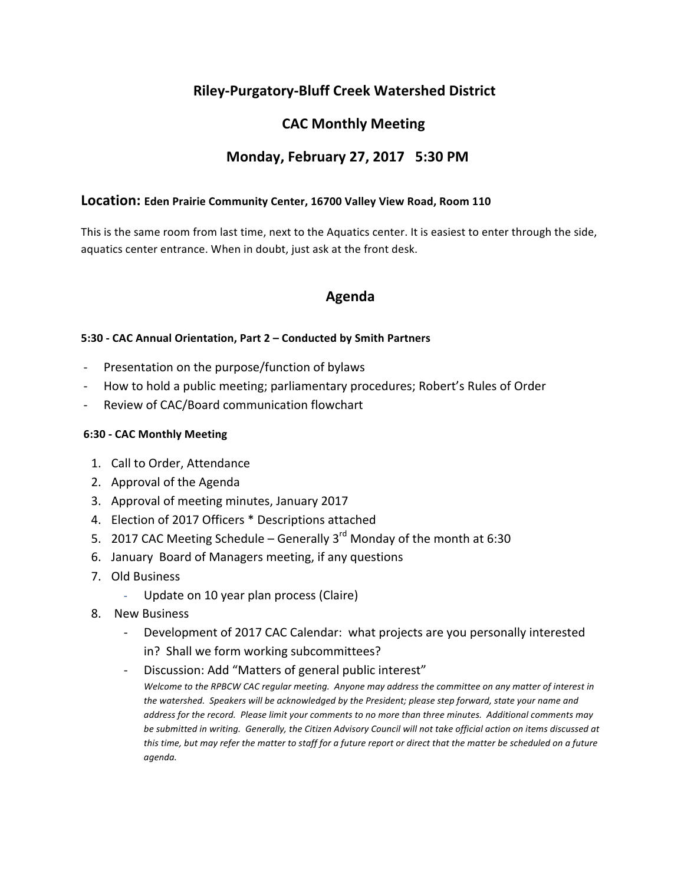## **Riley-Purgatory-Bluff Creek Watershed District**

# **CAC Monthly Meeting**

## **Monday, February 27, 2017 5:30 PM**

#### Location: Eden Prairie Community Center, 16700 Valley View Road, Room 110

This is the same room from last time, next to the Aquatics center. It is easiest to enter through the side, aquatics center entrance. When in doubt, just ask at the front desk.

## **Agenda**

#### **5:30 - CAC Annual Orientation, Part 2 – Conducted by Smith Partners**

- Presentation on the purpose/function of bylaws
- How to hold a public meeting; parliamentary procedures; Robert's Rules of Order
- Review of CAC/Board communication flowchart

#### **6:30 - CAC Monthly Meeting**

- 1. Call to Order, Attendance
- 2. Approval of the Agenda
- 3. Approval of meeting minutes, January 2017
- 4. Election of 2017 Officers \* Descriptions attached
- 5. 2017 CAC Meeting Schedule Generally  $3^{rd}$  Monday of the month at 6:30
- 6. January Board of Managers meeting, if any questions
- 7. Old Business
	- Update on 10 year plan process (Claire)
- 8. New Business
	- Development of 2017 CAC Calendar: what projects are you personally interested in? Shall we form working subcommittees?
	- Discussion: Add "Matters of general public interest" *Welcome to the RPBCW CAC regular meeting. Anyone may address the committee on any matter of interest in* the watershed. Speakers will be acknowledged by the President; please step forward, state your name and *address for the record.* Please limit your comments to no more than three minutes. Additional comments may be submitted in writing. Generally, the Citizen Advisory Council will not take official action on items discussed at *this* time, but may refer the matter to staff for a future report or direct that the matter be scheduled on a future *agenda.*